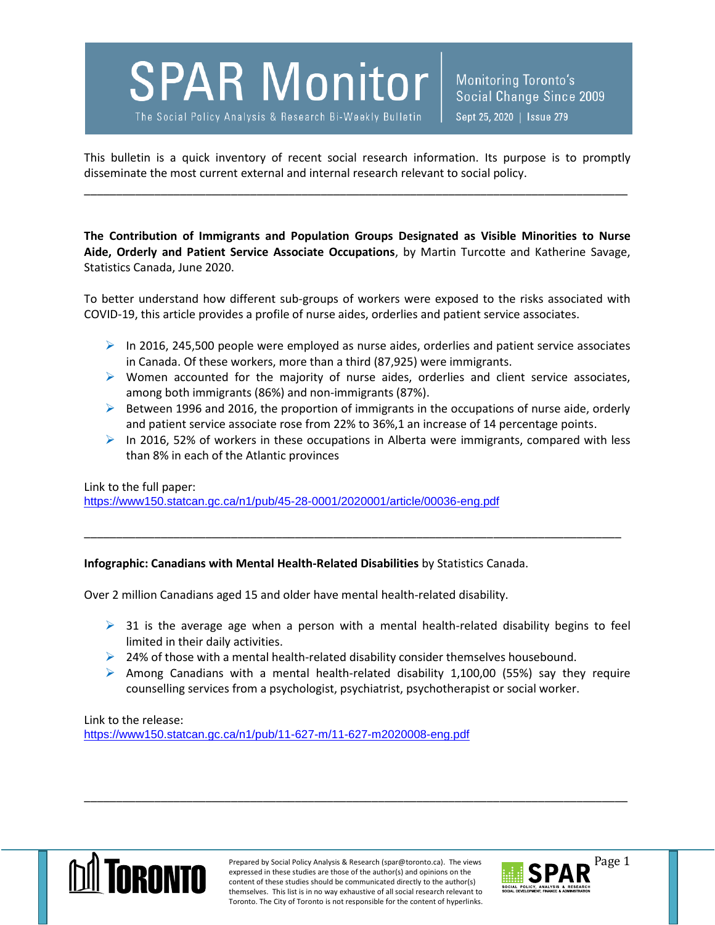## **SPAR Monitor**

The Social Policy Analysis & Research Bi-Weekly Bulletin

Monitoring Toronto's Social Change Since 2009 Sept 25, 2020 | Issue 279

This bulletin is a quick inventory of recent social research information. Its purpose is to promptly disseminate the most current external and internal research relevant to social policy.

\_\_\_\_\_\_\_\_\_\_\_\_\_\_\_\_\_\_\_\_\_\_\_\_\_\_\_\_\_\_\_\_\_\_\_\_\_\_\_\_\_\_\_\_\_\_\_\_\_\_\_\_\_\_\_\_\_\_\_\_\_\_\_\_\_\_\_\_\_\_\_\_\_\_\_\_\_\_\_\_\_\_\_\_\_

**The Contribution of Immigrants and Population Groups Designated as Visible Minorities to Nurse Aide, Orderly and Patient Service Associate Occupations**, by Martin Turcotte and Katherine Savage, Statistics Canada, June 2020.

To better understand how different sub-groups of workers were exposed to the risks associated with COVID-19, this article provides a profile of nurse aides, orderlies and patient service associates.

- $\triangleright$  In 2016, 245,500 people were employed as nurse aides, orderlies and patient service associates in Canada. Of these workers, more than a third (87,925) were immigrants.
- $\triangleright$  Women accounted for the majority of nurse aides, orderlies and client service associates, among both immigrants (86%) and non-immigrants (87%).
- $\triangleright$  Between 1996 and 2016, the proportion of immigrants in the occupations of nurse aide, orderly and patient service associate rose from 22% to 36%,1 an increase of 14 percentage points.
- $\triangleright$  In 2016, 52% of workers in these occupations in Alberta were immigrants, compared with less than 8% in each of the Atlantic provinces

\_\_\_\_\_\_\_\_\_\_\_\_\_\_\_\_\_\_\_\_\_\_\_\_\_\_\_\_\_\_\_\_\_\_\_\_\_\_\_\_\_\_\_\_\_\_\_\_\_\_\_\_\_\_\_\_\_\_\_\_\_\_\_\_\_\_\_\_\_\_\_\_\_\_\_\_\_\_\_\_\_\_\_\_

Link to the full paper:

<https://www150.statcan.gc.ca/n1/pub/45-28-0001/2020001/article/00036-eng.pdf>

## **Infographic: Canadians with Mental Health-Related Disabilities** by Statistics Canada.

Over 2 million Canadians aged 15 and older have mental health-related disability.

- $\triangleright$  31 is the average age when a person with a mental health-related disability begins to feel limited in their daily activities.
- $\geq$  24% of those with a mental health-related disability consider themselves housebound.
- $\triangleright$  Among Canadians with a mental health-related disability 1,100,00 (55%) say they require counselling services from a psychologist, psychiatrist, psychotherapist or social worker.

Link to the release: <https://www150.statcan.gc.ca/n1/pub/11-627-m/11-627-m2020008-eng.pdf>



Prepared by Social Policy Analysis & Research (spar@toronto.ca). The views Page 1 expressed in these studies are those of the author(s) and opinions on the content of these studies should be communicated directly to the author(s) themselves. This list is in no way exhaustive of all social research relevant to Toronto. The City of Toronto is not responsible for the content of hyperlinks.

\_\_\_\_\_\_\_\_\_\_\_\_\_\_\_\_\_\_\_\_\_\_\_\_\_\_\_\_\_\_\_\_\_\_\_\_\_\_\_\_\_\_\_\_\_\_\_\_\_\_\_\_\_\_\_\_\_\_\_\_\_\_\_\_\_\_\_\_\_\_\_\_\_\_\_\_\_\_\_\_\_\_\_\_\_

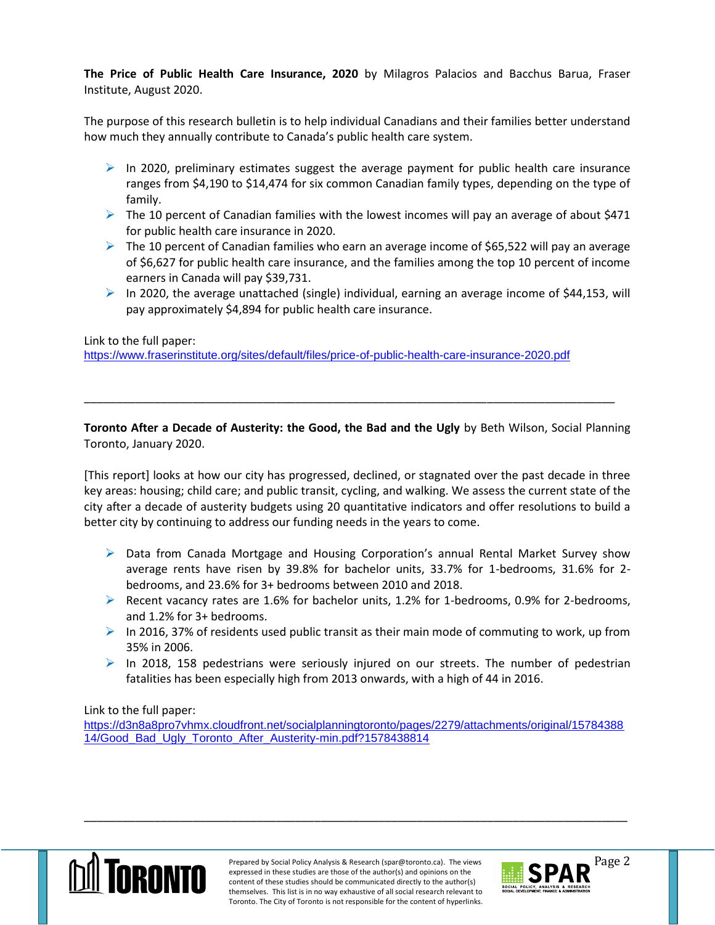**The Price of Public Health Care Insurance, 2020** by Milagros Palacios and Bacchus Barua, Fraser Institute, August 2020.

The purpose of this research bulletin is to help individual Canadians and their families better understand how much they annually contribute to Canada's public health care system.

- $\triangleright$  In 2020, preliminary estimates suggest the average payment for public health care insurance ranges from \$4,190 to \$14,474 for six common Canadian family types, depending on the type of family.
- $\triangleright$  The 10 percent of Canadian families with the lowest incomes will pay an average of about \$471 for public health care insurance in 2020.
- $\triangleright$  The 10 percent of Canadian families who earn an average income of \$65,522 will pay an average of \$6,627 for public health care insurance, and the families among the top 10 percent of income earners in Canada will pay \$39,731.
- $\triangleright$  In 2020, the average unattached (single) individual, earning an average income of \$44,153, will pay approximately \$4,894 for public health care insurance.

## Link to the full paper:

<https://www.fraserinstitute.org/sites/default/files/price-of-public-health-care-insurance-2020.pdf>

**Toronto After a Decade of Austerity: the Good, the Bad and the Ugly** by Beth Wilson, Social Planning Toronto, January 2020.

\_\_\_\_\_\_\_\_\_\_\_\_\_\_\_\_\_\_\_\_\_\_\_\_\_\_\_\_\_\_\_\_\_\_\_\_\_\_\_\_\_\_\_\_\_\_\_\_\_\_\_\_\_\_\_\_\_\_\_\_\_\_\_\_\_\_\_\_\_\_\_\_\_\_\_\_\_\_\_\_\_\_\_

[This report] looks at how our city has progressed, declined, or stagnated over the past decade in three key areas: housing; child care; and public transit, cycling, and walking. We assess the current state of the city after a decade of austerity budgets using 20 quantitative indicators and offer resolutions to build a better city by continuing to address our funding needs in the years to come.

- $\triangleright$  Data from Canada Mortgage and Housing Corporation's annual Rental Market Survey show average rents have risen by 39.8% for bachelor units, 33.7% for 1-bedrooms, 31.6% for 2 bedrooms, and 23.6% for 3+ bedrooms between 2010 and 2018.
- Recent vacancy rates are 1.6% for bachelor units, 1.2% for 1-bedrooms, 0.9% for 2-bedrooms, and 1.2% for 3+ bedrooms.
- $\triangleright$  In 2016, 37% of residents used public transit as their main mode of commuting to work, up from 35% in 2006.
- $\triangleright$  In 2018, 158 pedestrians were seriously injured on our streets. The number of pedestrian fatalities has been especially high from 2013 onwards, with a high of 44 in 2016.

Link to the full paper:

[https://d3n8a8pro7vhmx.cloudfront.net/socialplanningtoronto/pages/2279/attachments/original/15784388](https://d3n8a8pro7vhmx.cloudfront.net/socialplanningtoronto/pages/2279/attachments/original/1578438814/Good_Bad_Ugly_Toronto_After_Austerity-min.pdf?1578438814) [14/Good\\_Bad\\_Ugly\\_Toronto\\_After\\_Austerity-min.pdf?1578438814](https://d3n8a8pro7vhmx.cloudfront.net/socialplanningtoronto/pages/2279/attachments/original/1578438814/Good_Bad_Ugly_Toronto_After_Austerity-min.pdf?1578438814)



\_\_\_\_\_\_\_\_\_\_\_\_\_\_\_\_\_\_\_\_\_\_\_\_\_\_\_\_\_\_\_\_\_\_\_\_\_\_\_\_\_\_\_\_\_\_\_\_\_\_\_\_\_\_\_\_\_\_\_\_\_\_\_\_\_\_\_\_\_\_\_\_\_\_\_\_\_\_\_\_\_\_\_\_\_